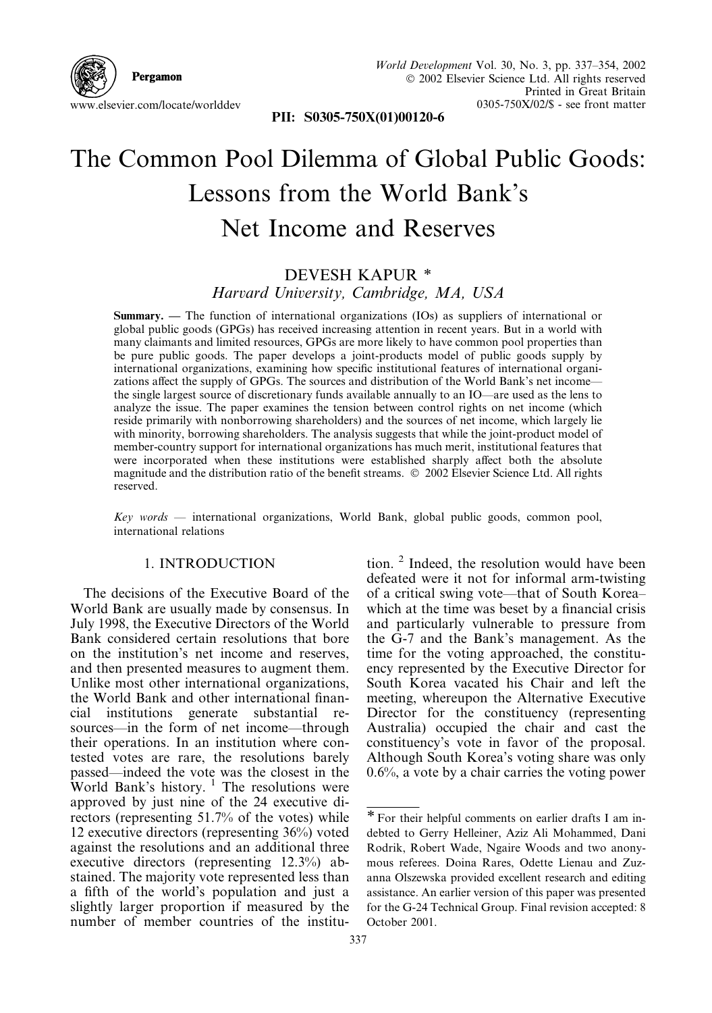Pergamon www.elsevier.com/locate/worlddev

PII: S0305-750X(01)00120-6

# The Common Pool Dilemma of Global Public Goods: Lessons from the World Bank's Net Income and Reserves

## DEVESH KAPUR \*

Harvard University, Cambridge, MA, USA

Summary. — The function of international organizations (IOs) as suppliers of international or global public goods (GPGs) has received increasing attention in recent years. But in a world with many claimants and limited resources, GPGs are more likely to have common pool properties than be pure public goods. The paper develops a joint-products model of public goods supply by international organizations, examining how specific institutional features of international organizations affect the supply of GPGs. The sources and distribution of the World Bank's net income the single largest source of discretionary funds available annually to an IO—are used as the lens to analyze the issue. The paper examines the tension between control rights on net income (which reside primarily with nonborrowing shareholders) and the sources of net income, which largely lie with minority, borrowing shareholders. The analysis suggests that while the joint-product model of member-country support for international organizations has much merit, institutional features that were incorporated when these institutions were established sharply affect both the absolute magnitude and the distribution ratio of the benefit streams.  $\odot$  2002 Elsevier Science Ltd. All rights reserved.

 $Key words$  — international organizations, World Bank, global public goods, common pool, international relations

#### 1. INTRODUCTION

The decisions of the Executive Board of the World Bank are usually made by consensus. In July 1998, the Executive Directors of the World Bank considered certain resolutions that bore on the institution's net income and reserves, and then presented measures to augment them. Unlike most other international organizations, the World Bank and other international financial institutions generate substantial resources—in the form of net income—through their operations. In an institution where contested votes are rare, the resolutions barely passed—indeed the vote was the closest in the World Bank's history.<sup>1</sup> The resolutions were approved by just nine of the 24 executive directors (representing 51.7% of the votes) while 12 executive directors (representing 36%) voted against the resolutions and an additional three executive directors (representing 12.3%) abstained. The majority vote represented less than a fifth of the world's population and just a slightly larger proportion if measured by the number of member countries of the institution. <sup>2</sup> Indeed, the resolution would have been defeated were it not for informal arm-twisting of a critical swing vote—that of South Korea– which at the time was beset by a financial crisis and particularly vulnerable to pressure from the G-7 and the Bank's management. As the time for the voting approached, the constituency represented by the Executive Director for South Korea vacated his Chair and left the meeting, whereupon the Alternative Executive Director for the constituency (representing Australia) occupied the chair and cast the constituency's vote in favor of the proposal. Although South Korea's voting share was only 0.6%, a vote by a chair carries the voting power

 $*\overline{F}$  For their helpful comments on earlier drafts I am indebted to Gerry Helleiner, Aziz Ali Mohammed, Dani Rodrik, Robert Wade, Ngaire Woods and two anonymous referees. Doina Rares, Odette Lienau and Zuzanna Olszewska provided excellent research and editing assistance. An earlier version of this paper was presented for the G-24 Technical Group. Final revision accepted: 8 October 2001.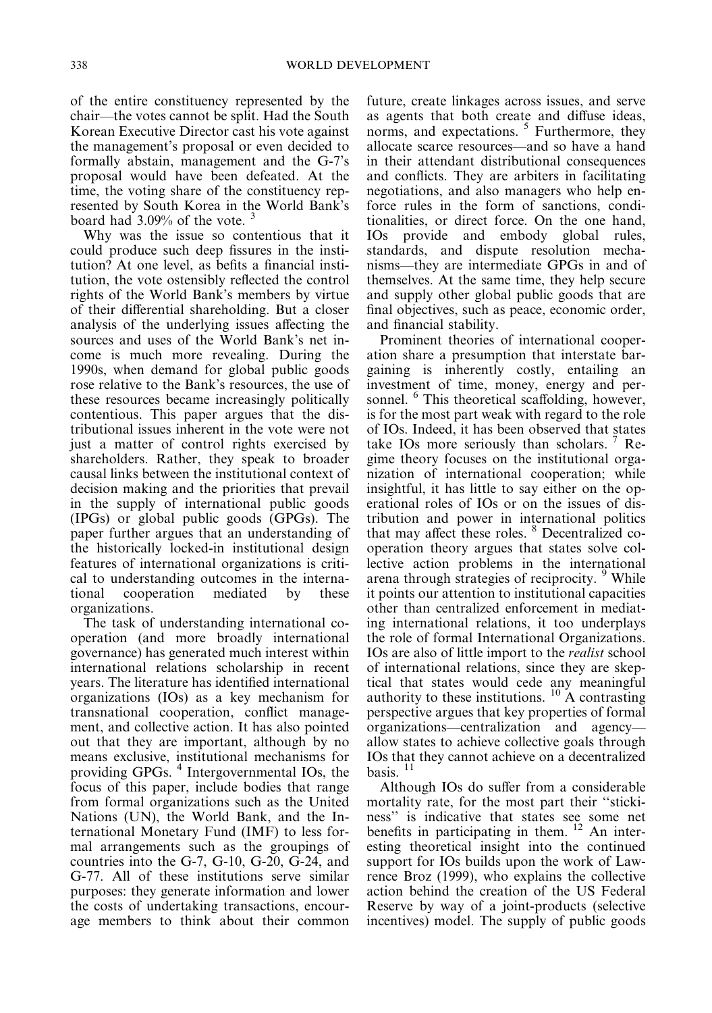of the entire constituency represented by the chair—the votes cannot be split. Had the South Korean Executive Director cast his vote against the management's proposal or even decided to formally abstain, management and the G-7's proposal would have been defeated. At the time, the voting share of the constituency represented by South Korea in the World Bank's board had  $3.09\%$  of the vote.

Why was the issue so contentious that it could produce such deep fissures in the institution? At one level, as befits a financial institution, the vote ostensibly reflected the control rights of the World Bank's members by virtue of their differential shareholding. But a closer analysis of the underlying issues affecting the sources and uses of the World Bank's net income is much more revealing. During the 1990s, when demand for global public goods rose relative to the Bank's resources, the use of these resources became increasingly politically contentious. This paper argues that the distributional issues inherent in the vote were not just a matter of control rights exercised by shareholders. Rather, they speak to broader causal links between the institutional context of decision making and the priorities that prevail in the supply of international public goods (IPGs) or global public goods (GPGs). The paper further argues that an understanding of the historically locked-in institutional design features of international organizations is critical to understanding outcomes in the international cooperation mediated by these organizations.

The task of understanding international cooperation (and more broadly international governance) has generated much interest within international relations scholarship in recent years. The literature has identified international organizations (IOs) as a key mechanism for transnational cooperation, conflict management, and collective action. It has also pointed out that they are important, although by no means exclusive, institutional mechanisms for providing GPGs. <sup>4</sup> Intergovernmental IOs, the focus of this paper, include bodies that range from formal organizations such as the United Nations (UN), the World Bank, and the International Monetary Fund (IMF) to less formal arrangements such as the groupings of countries into the G-7, G-10, G-20, G-24, and G-77. All of these institutions serve similar purposes: they generate information and lower the costs of undertaking transactions, encourage members to think about their common

future, create linkages across issues, and serve as agents that both create and diffuse ideas, norms, and expectations.<sup>5</sup> Furthermore, they allocate scarce resources—and so have a hand in their attendant distributional consequences and conflicts. They are arbiters in facilitating negotiations, and also managers who help enforce rules in the form of sanctions, conditionalities, or direct force. On the one hand, IOs provide and embody global rules, standards, and dispute resolution mechanisms—they are intermediate GPGs in and of themselves. At the same time, they help secure and supply other global public goods that are final objectives, such as peace, economic order, and financial stability.

Prominent theories of international cooperation share a presumption that interstate bargaining is inherently costly, entailing an investment of time, money, energy and personnel. <sup>6</sup> This theoretical scaffolding, however, is for the most part weak with regard to the role of IOs. Indeed, it has been observed that states take IOs more seriously than scholars.  $\frac{7}{1}$  Regime theory focuses on the institutional organization of international cooperation; while insightful, it has little to say either on the operational roles of IOs or on the issues of distribution and power in international politics that may affect these roles. <sup>8</sup> Decentralized cooperation theory argues that states solve collective action problems in the international arena through strategies of reciprocity. <sup>9</sup> While it points our attention to institutional capacities other than centralized enforcement in mediating international relations, it too underplays the role of formal International Organizations. IOs are also of little import to the realist school of international relations, since they are skeptical that states would cede any meaningful authority to these institutions.  $^{10}$  A contrasting perspective argues that key properties of formal organizations—centralization and agency allow states to achieve collective goals through IOs that they cannot achieve on a decentralized basis.  $11$ 

Although IOs do suffer from a considerable mortality rate, for the most part their ''stickiness'' is indicative that states see some net benefits in participating in them. <sup>12</sup> An interesting theoretical insight into the continued support for IOs builds upon the work of Lawrence Broz (1999), who explains the collective action behind the creation of the US Federal Reserve by way of a joint-products (selective incentives) model. The supply of public goods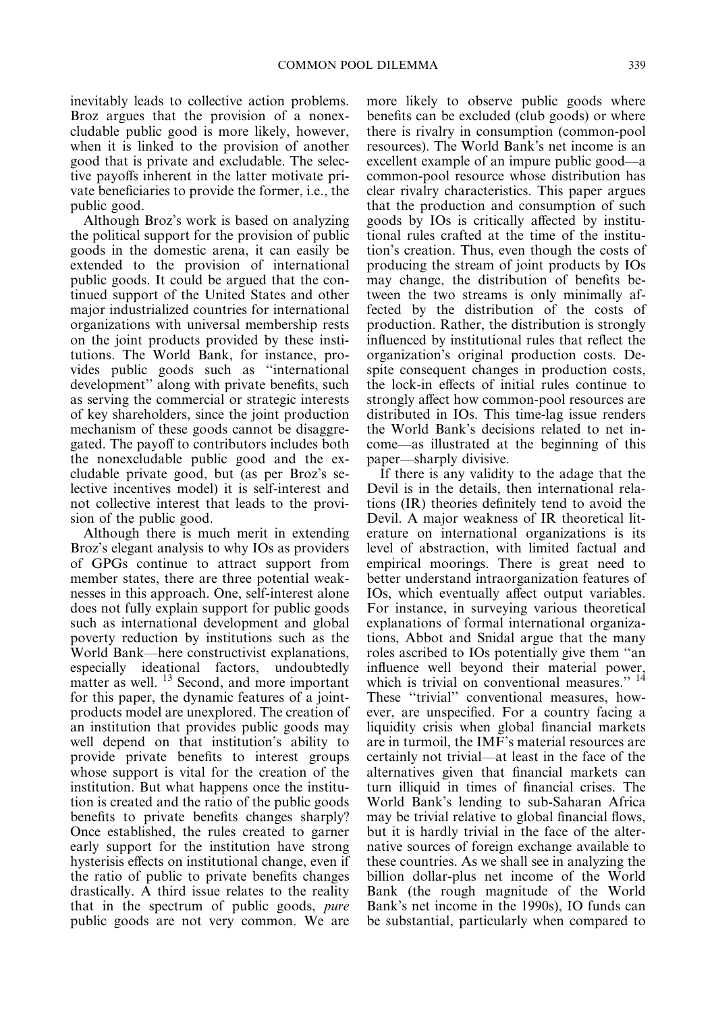inevitably leads to collective action problems. Broz argues that the provision of a nonexcludable public good is more likely, however, when it is linked to the provision of another good that is private and excludable. The selective payoffs inherent in the latter motivate private beneficiaries to provide the former, i.e., the public good.

Although Broz's work is based on analyzing the political support for the provision of public goods in the domestic arena, it can easily be extended to the provision of international public goods. It could be argued that the continued support of the United States and other major industrialized countries for international organizations with universal membership rests on the joint products provided by these institutions. The World Bank, for instance, provides public goods such as ''international development'' along with private benefits, such as serving the commercial or strategic interests of key shareholders, since the joint production mechanism of these goods cannot be disaggregated. The payoff to contributors includes both the nonexcludable public good and the excludable private good, but (as per Broz's selective incentives model) it is self-interest and not collective interest that leads to the provision of the public good.

Although there is much merit in extending Broz's elegant analysis to why IOs as providers of GPGs continue to attract support from member states, there are three potential weaknesses in this approach. One, self-interest alone does not fully explain support for public goods such as international development and global poverty reduction by institutions such as the World Bank—here constructivist explanations, especially ideational factors, undoubtedly matter as well. <sup>13</sup> Second, and more important for this paper, the dynamic features of a jointproducts model are unexplored. The creation of an institution that provides public goods may well depend on that institution's ability to provide private benefits to interest groups whose support is vital for the creation of the institution. But what happens once the institution is created and the ratio of the public goods benefits to private benefits changes sharply? Once established, the rules created to garner early support for the institution have strong hysterisis effects on institutional change, even if the ratio of public to private benefits changes drastically. A third issue relates to the reality that in the spectrum of public goods, pure public goods are not very common. We are

more likely to observe public goods where benefits can be excluded (club goods) or where there is rivalry in consumption (common-pool resources). The World Bank's net income is an excellent example of an impure public good—a common-pool resource whose distribution has clear rivalry characteristics. This paper argues that the production and consumption of such goods by IOs is critically affected by institutional rules crafted at the time of the institution's creation. Thus, even though the costs of producing the stream of joint products by IOs may change, the distribution of benefits between the two streams is only minimally affected by the distribution of the costs of production. Rather, the distribution is strongly influenced by institutional rules that reflect the organization's original production costs. Despite consequent changes in production costs, the lock-in effects of initial rules continue to strongly affect how common-pool resources are distributed in IOs. This time-lag issue renders the World Bank's decisions related to net income—as illustrated at the beginning of this paper—sharply divisive.

If there is any validity to the adage that the Devil is in the details, then international relations (IR) theories definitely tend to avoid the Devil. A major weakness of IR theoretical literature on international organizations is its level of abstraction, with limited factual and empirical moorings. There is great need to better understand intraorganization features of IOs, which eventually affect output variables. For instance, in surveying various theoretical explanations of formal international organizations, Abbot and Snidal argue that the many roles ascribed to IOs potentially give them ''an influence well beyond their material power, which is trivial on conventional measures."<sup>14</sup> These ''trivial'' conventional measures, however, are unspecified. For a country facing a liquidity crisis when global financial markets are in turmoil, the IMF's material resources are certainly not trivial—at least in the face of the alternatives given that financial markets can turn illiquid in times of financial crises. The World Bank's lending to sub-Saharan Africa may be trivial relative to global financial flows, but it is hardly trivial in the face of the alternative sources of foreign exchange available to these countries. As we shall see in analyzing the billion dollar-plus net income of the World Bank (the rough magnitude of the World Bank's net income in the 1990s), IO funds can be substantial, particularly when compared to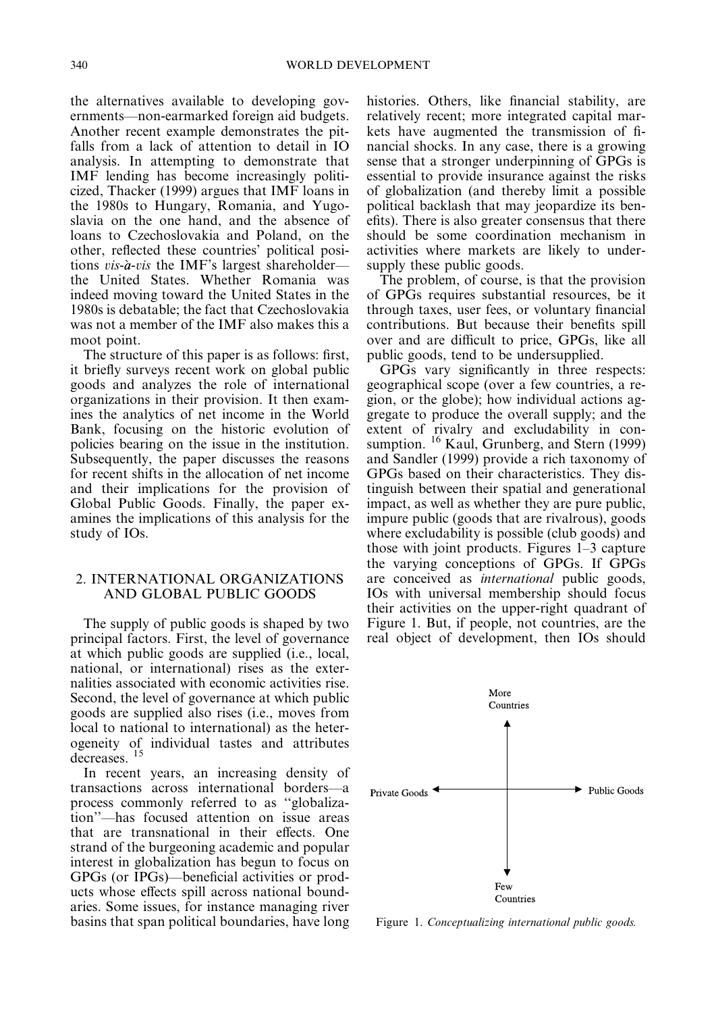the alternatives available to developing governments—non-earmarked foreign aid budgets. Another recent example demonstrates the pitfalls from a lack of attention to detail in IO analysis. In attempting to demonstrate that IMF lending has become increasingly politicized, Thacker (1999) argues that IMF loans in the 1980s to Hungary, Romania, and Yugoslavia on the one hand, and the absence of loans to Czechoslovakia and Poland, on the other, reflected these countries' political positions  $vis\text{-}a\text{-}vis$  the IMF's largest shareholder the United States. Whether Romania was indeed moving toward the United States in the 1980s is debatable; the fact that Czechoslovakia was not a member of the IMF also makes this a moot point.

The structure of this paper is as follows: first, it briefly surveys recent work on global public goods and analyzes the role of international organizations in their provision. It then examines the analytics of net income in the World Bank, focusing on the historic evolution of policies bearing on the issue in the institution. Subsequently, the paper discusses the reasons for recent shifts in the allocation of net income and their implications for the provision of Global Public Goods. Finally, the paper examines the implications of this analysis for the study of IOs.

## 2. INTERNATIONAL ORGANIZATIONS AND GLOBAL PUBLIC GOODS

The supply of public goods is shaped by two principal factors. First, the level of governance at which public goods are supplied (i.e., local, national, or international) rises as the externalities associated with economic activities rise. Second, the level of governance at which public goods are supplied also rises (i.e., moves from local to national to international) as the heterogeneity of individual tastes and attributes decreases.<sup>15</sup>

In recent years, an increasing density of transactions across international borders—a process commonly referred to as ''globalization''—has focused attention on issue areas that are transnational in their effects. One strand of the burgeoning academic and popular interest in globalization has begun to focus on GPGs (or IPGs)—beneficial activities or products whose effects spill across national boundaries. Some issues, for instance managing river basins that span political boundaries, have long

histories. Others, like financial stability, are relatively recent; more integrated capital markets have augmented the transmission of financial shocks. In any case, there is a growing sense that a stronger underpinning of GPGs is essential to provide insurance against the risks of globalization (and thereby limit a possible political backlash that may jeopardize its benefits). There is also greater consensus that there should be some coordination mechanism in activities where markets are likely to undersupply these public goods.

The problem, of course, is that the provision of GPGs requires substantial resources, be it through taxes, user fees, or voluntary financial contributions. But because their benefits spill over and are difficult to price, GPGs, like all public goods, tend to be undersupplied.

GPGs vary significantly in three respects: geographical scope (over a few countries, a region, or the globe); how individual actions aggregate to produce the overall supply; and the extent of rivalry and excludability in consumption. <sup>16</sup> Kaul, Grunberg, and Stern (1999) and Sandler (1999) provide a rich taxonomy of GPGs based on their characteristics. They distinguish between their spatial and generational impact, as well as whether they are pure public, impure public (goods that are rivalrous), goods where excludability is possible (club goods) and those with joint products. Figures 1–3 capture the varying conceptions of GPGs. If GPGs are conceived as international public goods, IOs with universal membership should focus their activities on the upper-right quadrant of Figure 1. But, if people, not countries, are the real object of development, then IOs should



Figure 1. Conceptualizing international public goods.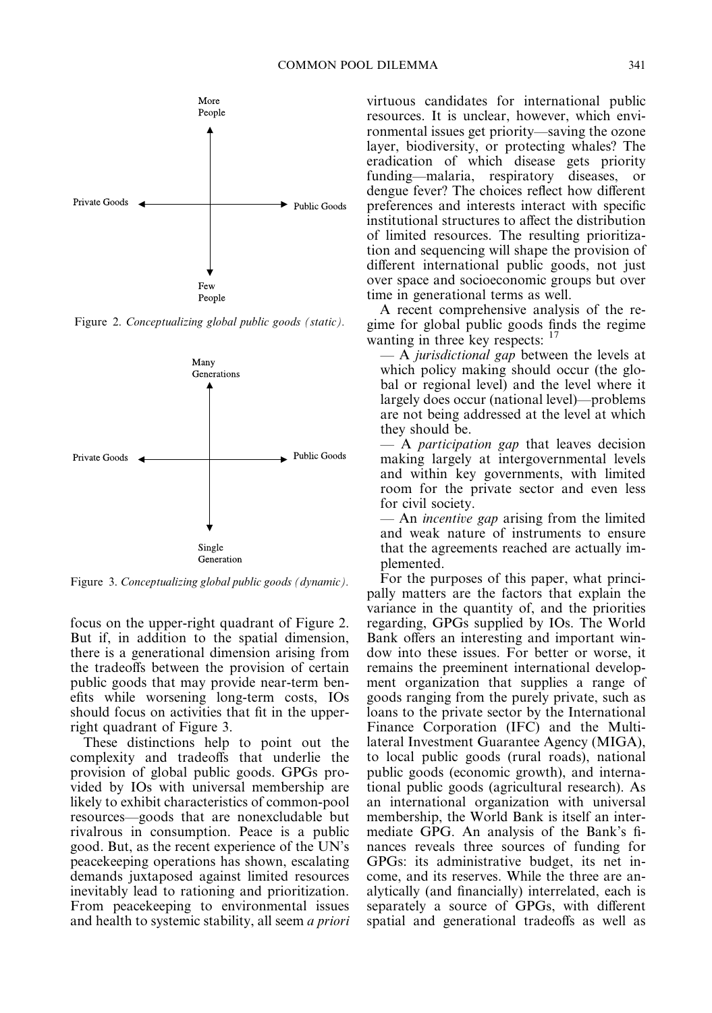

Figure 2. Conceptualizing global public goods (static).



Figure 3. Conceptualizing global public goods (dynamic).

focus on the upper-right quadrant of Figure 2. But if, in addition to the spatial dimension, there is a generational dimension arising from the tradeoffs between the provision of certain public goods that may provide near-term benefits while worsening long-term costs, IOs should focus on activities that fit in the upperright quadrant of Figure 3.

These distinctions help to point out the complexity and tradeoffs that underlie the provision of global public goods. GPGs provided by IOs with universal membership are likely to exhibit characteristics of common-pool resources—goods that are nonexcludable but rivalrous in consumption. Peace is a public good. But, as the recent experience of the UN's peacekeeping operations has shown, escalating demands juxtaposed against limited resources inevitably lead to rationing and prioritization. From peacekeeping to environmental issues and health to systemic stability, all seem a priori virtuous candidates for international public resources. It is unclear, however, which environmental issues get priority—saving the ozone layer, biodiversity, or protecting whales? The eradication of which disease gets priority funding—malaria, respiratory diseases, or dengue fever? The choices reflect how different preferences and interests interact with specific institutional structures to affect the distribution of limited resources. The resulting prioritization and sequencing will shape the provision of different international public goods, not just over space and socioeconomic groups but over time in generational terms as well.

A recent comprehensive analysis of the regime for global public goods finds the regime wanting in three key respects:  $17$ 

 $-$  A *jurisdictional gap* between the levels at which policy making should occur (the global or regional level) and the level where it largely does occur (national level)—problems are not being addressed at the level at which they should be.

A *participation gap* that leaves decision making largely at intergovernmental levels and within key governments, with limited room for the private sector and even less for civil society.

— An *incentive gap* arising from the limited and weak nature of instruments to ensure that the agreements reached are actually implemented.

For the purposes of this paper, what principally matters are the factors that explain the variance in the quantity of, and the priorities regarding, GPGs supplied by IOs. The World Bank offers an interesting and important window into these issues. For better or worse, it remains the preeminent international development organization that supplies a range of goods ranging from the purely private, such as loans to the private sector by the International Finance Corporation (IFC) and the Multilateral Investment Guarantee Agency (MIGA), to local public goods (rural roads), national public goods (economic growth), and international public goods (agricultural research). As an international organization with universal membership, the World Bank is itself an intermediate GPG. An analysis of the Bank's finances reveals three sources of funding for GPGs: its administrative budget, its net income, and its reserves. While the three are analytically (and financially) interrelated, each is separately a source of GPGs, with different spatial and generational tradeoffs as well as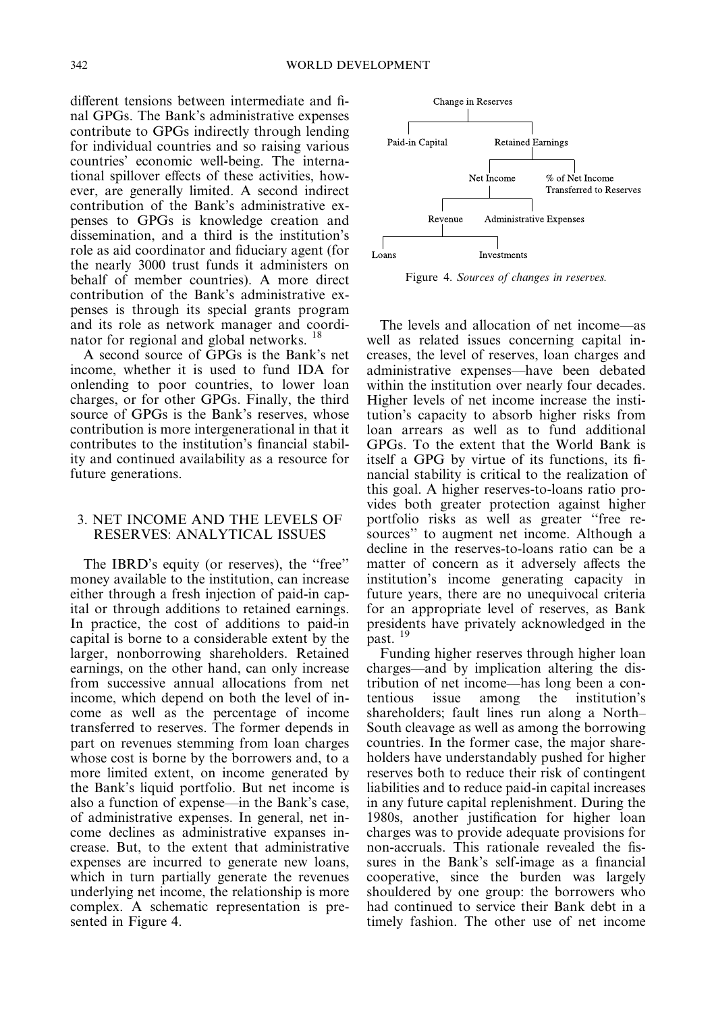different tensions between intermediate and final GPGs. The Bank's administrative expenses contribute to GPGs indirectly through lending for individual countries and so raising various countries' economic well-being. The international spillover effects of these activities, however, are generally limited. A second indirect contribution of the Bank's administrative expenses to GPGs is knowledge creation and dissemination, and a third is the institution's role as aid coordinator and fiduciary agent (for the nearly 3000 trust funds it administers on behalf of member countries). A more direct contribution of the Bank's administrative expenses is through its special grants program and its role as network manager and coordinator for regional and global networks. <sup>18</sup>

A second source of GPGs is the Bank's net income, whether it is used to fund IDA for onlending to poor countries, to lower loan charges, or for other GPGs. Finally, the third source of GPGs is the Bank's reserves, whose contribution is more intergenerational in that it contributes to the institution's financial stability and continued availability as a resource for future generations.

## 3. NET INCOME AND THE LEVELS OF RESERVES: ANALYTICAL ISSUES

The IBRD's equity (or reserves), the ''free'' money available to the institution, can increase either through a fresh injection of paid-in capital or through additions to retained earnings. In practice, the cost of additions to paid-in capital is borne to a considerable extent by the larger, nonborrowing shareholders. Retained earnings, on the other hand, can only increase from successive annual allocations from net income, which depend on both the level of income as well as the percentage of income transferred to reserves. The former depends in part on revenues stemming from loan charges whose cost is borne by the borrowers and, to a more limited extent, on income generated by the Bank's liquid portfolio. But net income is also a function of expense—in the Bank's case, of administrative expenses. In general, net income declines as administrative expanses increase. But, to the extent that administrative expenses are incurred to generate new loans, which in turn partially generate the revenues underlying net income, the relationship is more complex. A schematic representation is presented in Figure 4.



Figure 4. Sources of changes in reserves.

The levels and allocation of net income—as well as related issues concerning capital increases, the level of reserves, loan charges and administrative expenses—have been debated within the institution over nearly four decades. Higher levels of net income increase the institution's capacity to absorb higher risks from loan arrears as well as to fund additional GPGs. To the extent that the World Bank is itself a GPG by virtue of its functions, its financial stability is critical to the realization of this goal. A higher reserves-to-loans ratio provides both greater protection against higher portfolio risks as well as greater ''free resources'' to augment net income. Although a decline in the reserves-to-loans ratio can be a matter of concern as it adversely affects the institution's income generating capacity in future years, there are no unequivocal criteria for an appropriate level of reserves, as Bank presidents have privately acknowledged in the past. <sup>19</sup>

Funding higher reserves through higher loan charges—and by implication altering the distribution of net income—has long been a contentious issue among the institution's shareholders; fault lines run along a North– South cleavage as well as among the borrowing countries. In the former case, the major shareholders have understandably pushed for higher reserves both to reduce their risk of contingent liabilities and to reduce paid-in capital increases in any future capital replenishment. During the 1980s, another justification for higher loan charges was to provide adequate provisions for non-accruals. This rationale revealed the fissures in the Bank's self-image as a financial cooperative, since the burden was largely shouldered by one group: the borrowers who had continued to service their Bank debt in a timely fashion. The other use of net income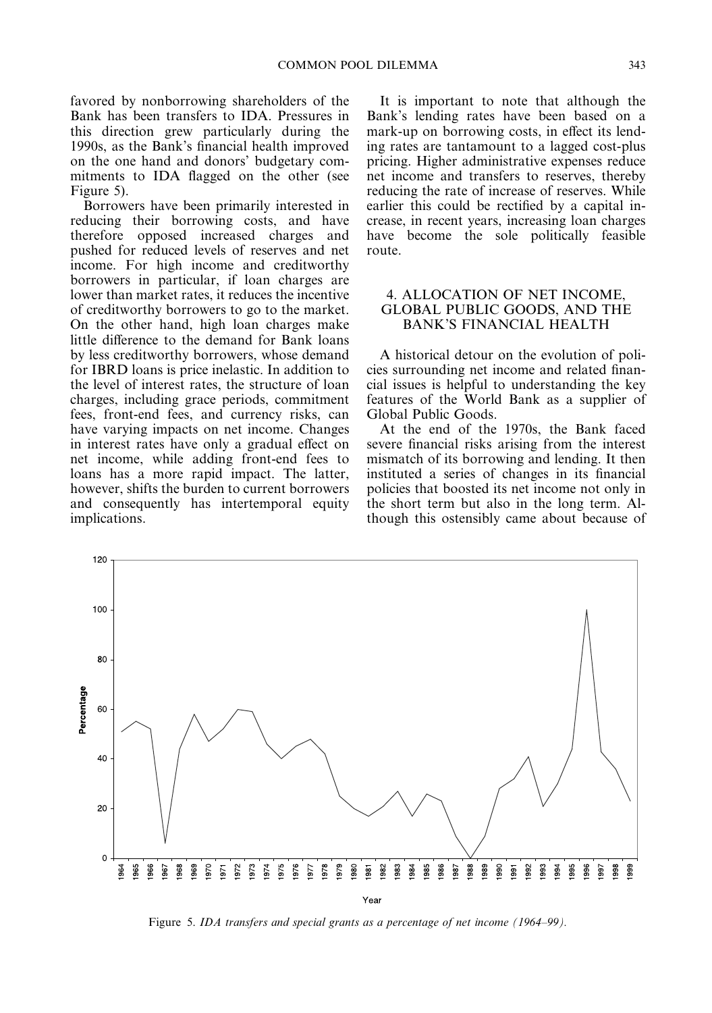favored by nonborrowing shareholders of the Bank has been transfers to IDA. Pressures in this direction grew particularly during the 1990s, as the Bank's financial health improved on the one hand and donors' budgetary commitments to IDA flagged on the other (see Figure 5).

Borrowers have been primarily interested in reducing their borrowing costs, and have therefore opposed increased charges and pushed for reduced levels of reserves and net income. For high income and creditworthy borrowers in particular, if loan charges are lower than market rates, it reduces the incentive of creditworthy borrowers to go to the market. On the other hand, high loan charges make little difference to the demand for Bank loans by less creditworthy borrowers, whose demand for IBRD loans is price inelastic. In addition to the level of interest rates, the structure of loan charges, including grace periods, commitment fees, front-end fees, and currency risks, can have varying impacts on net income. Changes in interest rates have only a gradual effect on net income, while adding front-end fees to loans has a more rapid impact. The latter, however, shifts the burden to current borrowers and consequently has intertemporal equity implications.

It is important to note that although the Bank's lending rates have been based on a mark-up on borrowing costs, in effect its lending rates are tantamount to a lagged cost-plus pricing. Higher administrative expenses reduce net income and transfers to reserves, thereby reducing the rate of increase of reserves. While earlier this could be rectified by a capital increase, in recent years, increasing loan charges have become the sole politically feasible route.

## 4. ALLOCATION OF NET INCOME, GLOBAL PUBLIC GOODS, AND THE BANK'S FINANCIAL HEALTH

A historical detour on the evolution of policies surrounding net income and related financial issues is helpful to understanding the key features of the World Bank as a supplier of Global Public Goods.

At the end of the 1970s, the Bank faced severe financial risks arising from the interest mismatch of its borrowing and lending. It then instituted a series of changes in its financial policies that boosted its net income not only in the short term but also in the long term. Although this ostensibly came about because of



Figure 5. IDA transfers and special grants as a percentage of net income (1964–99).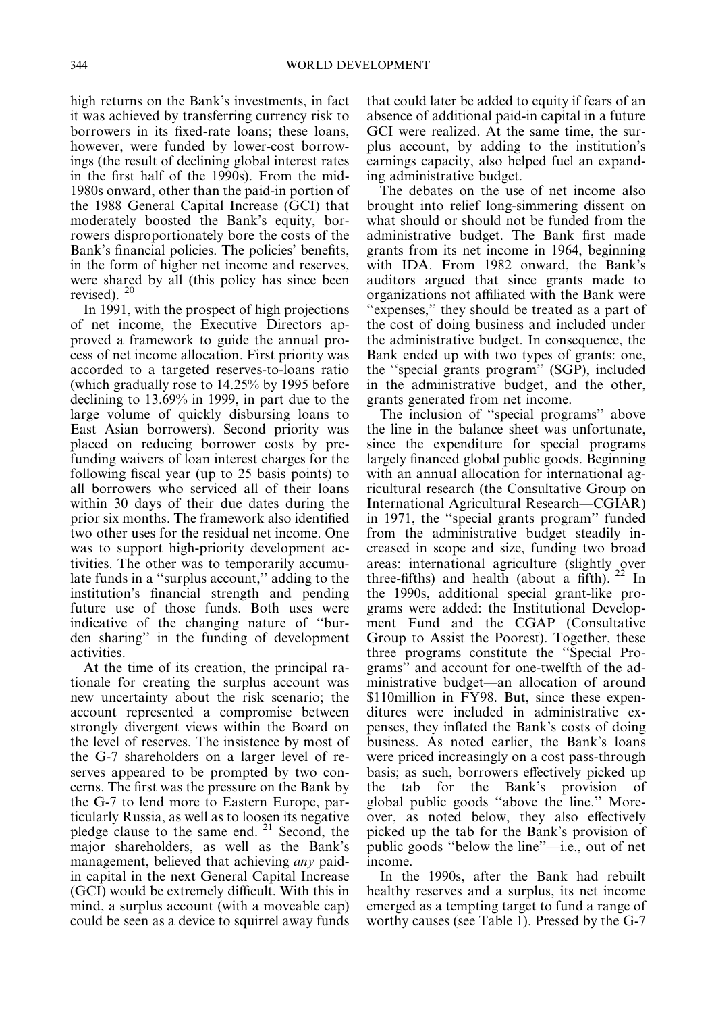high returns on the Bank's investments, in fact it was achieved by transferring currency risk to borrowers in its fixed-rate loans; these loans, however, were funded by lower-cost borrowings (the result of declining global interest rates in the first half of the 1990s). From the mid-1980s onward, other than the paid-in portion of the 1988 General Capital Increase (GCI) that moderately boosted the Bank's equity, borrowers disproportionately bore the costs of the Bank's financial policies. The policies' benefits, in the form of higher net income and reserves, were shared by all (this policy has since been revised). <sup>20</sup>

In 1991, with the prospect of high projections of net income, the Executive Directors approved a framework to guide the annual process of net income allocation. First priority was accorded to a targeted reserves-to-loans ratio (which gradually rose to 14.25% by 1995 before declining to 13.69% in 1999, in part due to the large volume of quickly disbursing loans to East Asian borrowers). Second priority was placed on reducing borrower costs by prefunding waivers of loan interest charges for the following fiscal year (up to 25 basis points) to all borrowers who serviced all of their loans within 30 days of their due dates during the prior six months. The framework also identified two other uses for the residual net income. One was to support high-priority development activities. The other was to temporarily accumulate funds in a ''surplus account,'' adding to the institution's financial strength and pending future use of those funds. Both uses were indicative of the changing nature of ''burden sharing'' in the funding of development activities.

At the time of its creation, the principal rationale for creating the surplus account was new uncertainty about the risk scenario; the account represented a compromise between strongly divergent views within the Board on the level of reserves. The insistence by most of the G-7 shareholders on a larger level of reserves appeared to be prompted by two concerns. The first was the pressure on the Bank by the G-7 to lend more to Eastern Europe, particularly Russia, as well as to loosen its negative pledge clause to the same end. <sup>21</sup> Second, the major shareholders, as well as the Bank's management, believed that achieving *any* paidin capital in the next General Capital Increase (GCI) would be extremely difficult. With this in mind, a surplus account (with a moveable cap) could be seen as a device to squirrel away funds

that could later be added to equity if fears of an absence of additional paid-in capital in a future GCI were realized. At the same time, the surplus account, by adding to the institution's earnings capacity, also helped fuel an expanding administrative budget.

The debates on the use of net income also brought into relief long-simmering dissent on what should or should not be funded from the administrative budget. The Bank first made grants from its net income in 1964, beginning with IDA. From 1982 onward, the Bank's auditors argued that since grants made to organizations not affiliated with the Bank were ''expenses,'' they should be treated as a part of the cost of doing business and included under the administrative budget. In consequence, the Bank ended up with two types of grants: one, the ''special grants program'' (SGP), included in the administrative budget, and the other, grants generated from net income.

The inclusion of ''special programs'' above the line in the balance sheet was unfortunate, since the expenditure for special programs largely financed global public goods. Beginning with an annual allocation for international agricultural research (the Consultative Group on International Agricultural Research—CGIAR) in 1971, the ''special grants program'' funded from the administrative budget steadily increased in scope and size, funding two broad areas: international agriculture (slightly over three-fifths) and health (about a fifth).  $22 \text{ In}$ the 1990s, additional special grant-like programs were added: the Institutional Development Fund and the CGAP (Consultative Group to Assist the Poorest). Together, these three programs constitute the ''Special Programs'' and account for one-twelfth of the administrative budget—an allocation of around \$110million in FY98. But, since these expenditures were included in administrative expenses, they inflated the Bank's costs of doing business. As noted earlier, the Bank's loans were priced increasingly on a cost pass-through basis; as such, borrowers effectively picked up the tab for the Bank's provision of global public goods ''above the line.'' Moreover, as noted below, they also effectively picked up the tab for the Bank's provision of public goods ''below the line''—i.e., out of net income.

In the 1990s, after the Bank had rebuilt healthy reserves and a surplus, its net income emerged as a tempting target to fund a range of worthy causes (see Table 1). Pressed by the G-7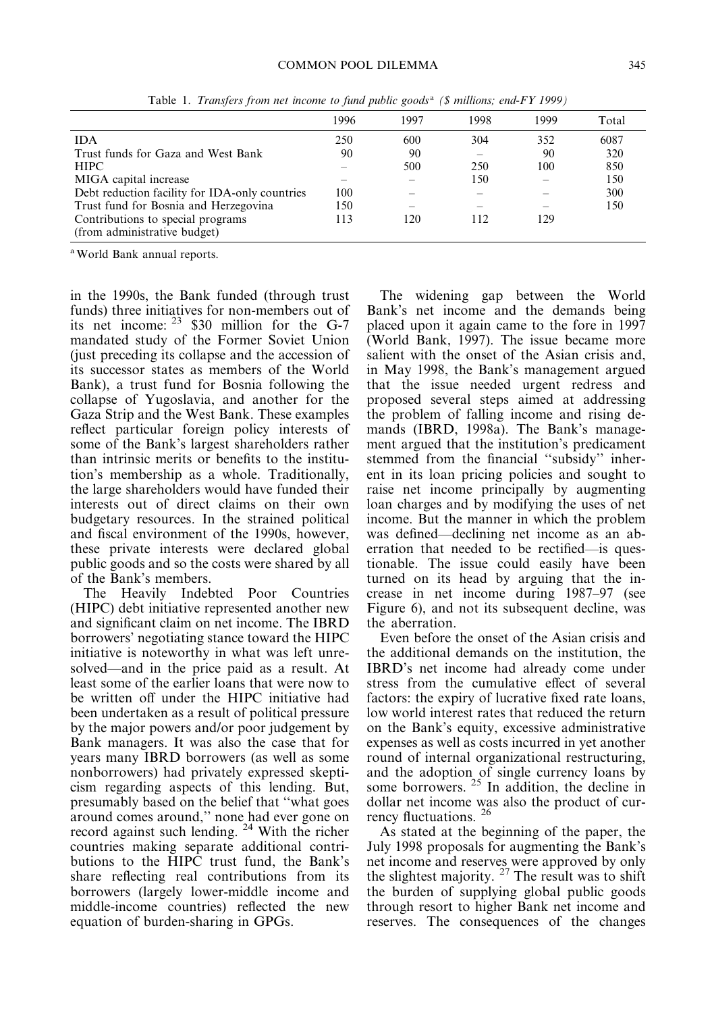|                                                | 1996 | 1997 | 1998 | 1999 | Total |
|------------------------------------------------|------|------|------|------|-------|
| <b>IDA</b>                                     | 250  | 600  | 304  | 352  | 6087  |
| Trust funds for Gaza and West Bank             | 90   | 90   |      | 90   | 320   |
| <b>HIPC</b>                                    |      | 500  | 250  | 100  | 850   |
| MIGA capital increase                          |      |      | 150  |      | 150   |
| Debt reduction facility for IDA-only countries | 100  |      |      |      | 300   |
| Trust fund for Bosnia and Herzegovina          | 150  | -    |      |      | 150   |
| Contributions to special programs              | 113  | 120  | 112  | 129  |       |
| (from administrative budget)                   |      |      |      |      |       |

Table 1. Transfers from net income to fund public goods<sup>a</sup> (\$ millions; end-FY 1999)

aWorld Bank annual reports.

in the 1990s, the Bank funded (through trust funds) three initiatives for non-members out of its net income:  $23$  \$30 million for the G-7 mandated study of the Former Soviet Union (just preceding its collapse and the accession of its successor states as members of the World Bank), a trust fund for Bosnia following the collapse of Yugoslavia, and another for the Gaza Strip and the West Bank. These examples reflect particular foreign policy interests of some of the Bank's largest shareholders rather than intrinsic merits or benefits to the institution's membership as a whole. Traditionally, the large shareholders would have funded their interests out of direct claims on their own budgetary resources. In the strained political and fiscal environment of the 1990s, however, these private interests were declared global public goods and so the costs were shared by all of the Bank's members.

The Heavily Indebted Poor Countries (HIPC) debt initiative represented another new and significant claim on net income. The IBRD borrowers' negotiating stance toward the HIPC initiative is noteworthy in what was left unresolved—and in the price paid as a result. At least some of the earlier loans that were now to be written off under the HIPC initiative had been undertaken as a result of political pressure by the major powers and/or poor judgement by Bank managers. It was also the case that for years many IBRD borrowers (as well as some nonborrowers) had privately expressed skepticism regarding aspects of this lending. But, presumably based on the belief that ''what goes around comes around," none had ever gone on<br>record against such lending. <sup>24</sup> With the richer countries making separate additional contributions to the HIPC trust fund, the Bank's share reflecting real contributions from its borrowers (largely lower-middle income and middle-income countries) reflected the new equation of burden-sharing in GPGs.

The widening gap between the World Bank's net income and the demands being placed upon it again came to the fore in 1997 (World Bank, 1997). The issue became more salient with the onset of the Asian crisis and, in May 1998, the Bank's management argued that the issue needed urgent redress and proposed several steps aimed at addressing the problem of falling income and rising demands (IBRD, 1998a). The Bank's management argued that the institution's predicament stemmed from the financial ''subsidy'' inherent in its loan pricing policies and sought to raise net income principally by augmenting loan charges and by modifying the uses of net income. But the manner in which the problem was defined—declining net income as an aberration that needed to be rectified—is questionable. The issue could easily have been turned on its head by arguing that the increase in net income during 1987–97 (see Figure 6), and not its subsequent decline, was the aberration.

Even before the onset of the Asian crisis and the additional demands on the institution, the IBRD's net income had already come under stress from the cumulative effect of several factors: the expiry of lucrative fixed rate loans, low world interest rates that reduced the return on the Bank's equity, excessive administrative expenses as well as costs incurred in yet another round of internal organizational restructuring, and the adoption of single currency loans by some borrowers. <sup>25</sup> In addition, the decline in dollar net income was also the product of currency fluctuations. <sup>26</sup>

As stated at the beginning of the paper, the July 1998 proposals for augmenting the Bank's net income and reserves were approved by only the slightest majority.  $27$  The result was to shift the burden of supplying global public goods through resort to higher Bank net income and reserves. The consequences of the changes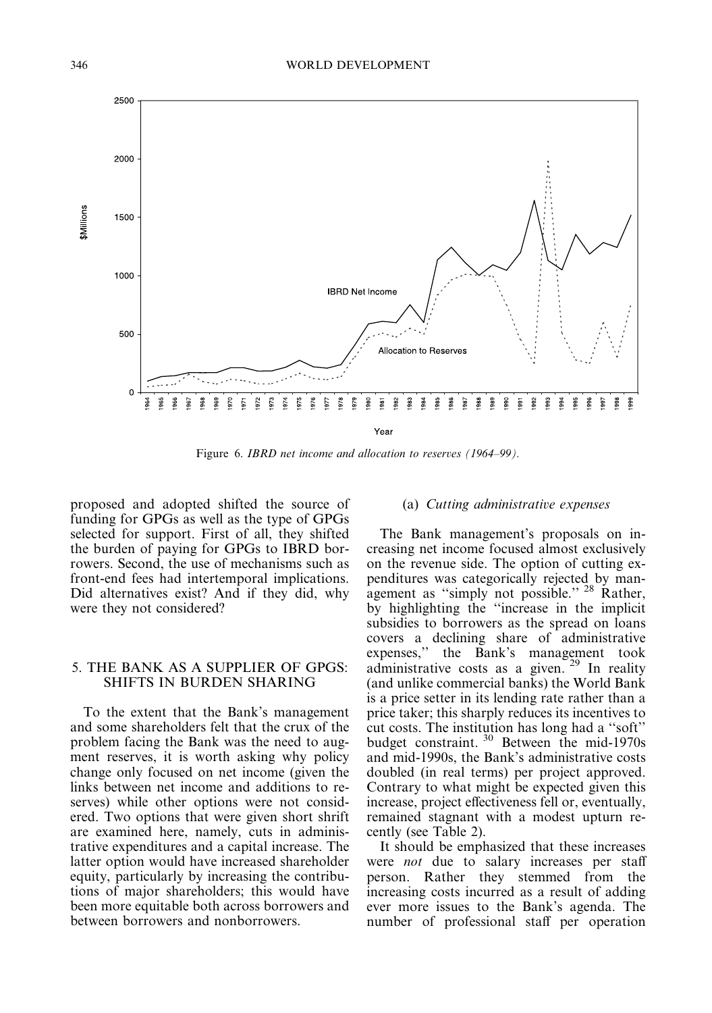

Figure 6. IBRD net income and allocation to reserves (1964–99).

proposed and adopted shifted the source of funding for GPGs as well as the type of GPGs selected for support. First of all, they shifted the burden of paying for GPGs to IBRD borrowers. Second, the use of mechanisms such as front-end fees had intertemporal implications. Did alternatives exist? And if they did, why were they not considered?

## 5. THE BANK AS A SUPPLIER OF GPGS: SHIFTS IN BURDEN SHARING

To the extent that the Bank's management and some shareholders felt that the crux of the problem facing the Bank was the need to augment reserves, it is worth asking why policy change only focused on net income (given the links between net income and additions to reserves) while other options were not considered. Two options that were given short shrift are examined here, namely, cuts in administrative expenditures and a capital increase. The latter option would have increased shareholder equity, particularly by increasing the contributions of major shareholders; this would have been more equitable both across borrowers and between borrowers and nonborrowers.

#### (a) Cutting administrative expenses

The Bank management's proposals on increasing net income focused almost exclusively on the revenue side. The option of cutting expenditures was categorically rejected by management as "simply not possible." <sup>28</sup> Rather, by highlighting the ''increase in the implicit subsidies to borrowers as the spread on loans covers a declining share of administrative expenses,'' the Bank's management took administrative costs as a given.<sup>29</sup> In reality (and unlike commercial banks) the World Bank is a price setter in its lending rate rather than a price taker; this sharply reduces its incentives to cut costs. The institution has long had a ''soft'' budget constraint. <sup>30</sup> Between the mid-1970s and mid-1990s, the Bank's administrative costs doubled (in real terms) per project approved. Contrary to what might be expected given this increase, project effectiveness fell or, eventually, remained stagnant with a modest upturn recently (see Table 2).

It should be emphasized that these increases were *not* due to salary increases per staff person. Rather they stemmed from the increasing costs incurred as a result of adding ever more issues to the Bank's agenda. The number of professional staff per operation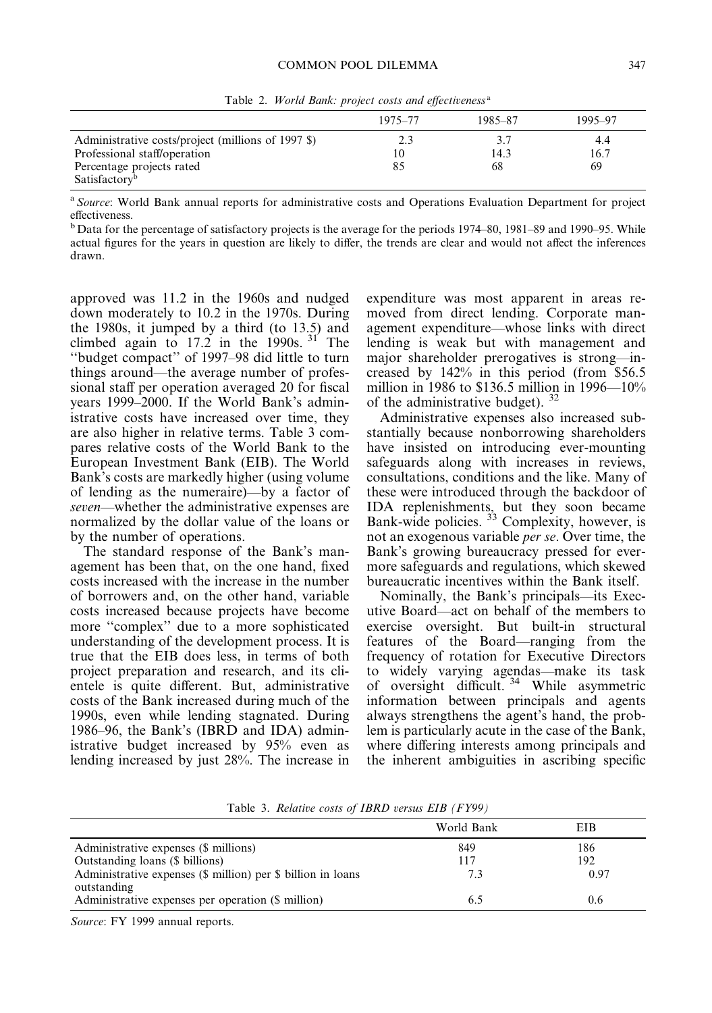#### COMMON POOL DILEMMA 347

|                                                    | 1975–77 | 1985-87 | 1995-97 |
|----------------------------------------------------|---------|---------|---------|
| Administrative costs/project (millions of 1997 \$) |         | 3.7     | 4.4     |
| Professional staff/operation                       | 10      | 14.3    | 16.7    |
| Percentage projects rated                          | 85      | 68      | 69      |
| Satisfactory <sup>b</sup>                          |         |         |         |

Table 2. World Bank: project costs and effectiveness<sup>a</sup>

<sup>a</sup> Source: World Bank annual reports for administrative costs and Operations Evaluation Department for project effectiveness.

<sup>b</sup> Data for the percentage of satisfactory projects is the average for the periods 1974–80, 1981–89 and 1990–95. While actual figures for the years in question are likely to differ, the trends are clear and would not affect the inferences drawn.

approved was 11.2 in the 1960s and nudged down moderately to 10.2 in the 1970s. During the 1980s, it jumped by a third (to 13.5) and climbed again to  $17.2$  in the 1990s. <sup>31</sup> The ''budget compact'' of 1997–98 did little to turn things around—the average number of professional staff per operation averaged 20 for fiscal years 1999–2000. If the World Bank's administrative costs have increased over time, they are also higher in relative terms. Table 3 compares relative costs of the World Bank to the European Investment Bank (EIB). The World Bank's costs are markedly higher (using volume of lending as the numeraire)—by a factor of seven—whether the administrative expenses are normalized by the dollar value of the loans or by the number of operations.

The standard response of the Bank's management has been that, on the one hand, fixed costs increased with the increase in the number of borrowers and, on the other hand, variable costs increased because projects have become more ''complex'' due to a more sophisticated understanding of the development process. It is true that the EIB does less, in terms of both project preparation and research, and its clientele is quite different. But, administrative costs of the Bank increased during much of the 1990s, even while lending stagnated. During 1986–96, the Bank's (IBRD and IDA) administrative budget increased by 95% even as lending increased by just 28%. The increase in expenditure was most apparent in areas removed from direct lending. Corporate management expenditure—whose links with direct lending is weak but with management and major shareholder prerogatives is strong—increased by 142% in this period (from \$56.5 million in 1986 to \$136.5 million in 1996—10% of the administrative budget).  $32$ 

Administrative expenses also increased substantially because nonborrowing shareholders have insisted on introducing ever-mounting safeguards along with increases in reviews, consultations, conditions and the like. Many of these were introduced through the backdoor of IDA replenishments, but they soon became Bank-wide policies. <sup>33</sup> Complexity, however, is not an exogenous variable per se. Over time, the Bank's growing bureaucracy pressed for evermore safeguards and regulations, which skewed bureaucratic incentives within the Bank itself.

Nominally, the Bank's principals—its Executive Board—act on behalf of the members to exercise oversight. But built-in structural features of the Board—ranging from the frequency of rotation for Executive Directors to widely varying agendas—make its task of oversight difficult.<sup>34</sup> While asymmetric information between principals and agents always strengthens the agent's hand, the problem is particularly acute in the case of the Bank, where differing interests among principals and the inherent ambiguities in ascribing specific

|                                                                             | World Bank | EIB  |
|-----------------------------------------------------------------------------|------------|------|
| Administrative expenses (\$ millions)                                       | 849        | 186  |
| Outstanding loans (\$ billions)                                             | 117        | 192  |
| Administrative expenses (\$ million) per \$ billion in loans<br>outstanding | 7.3        | 0.97 |
| Administrative expenses per operation (\$ million)                          | 6.5        | 0.6  |

Table 3. Relative costs of IBRD versus EIB (FY99)

Source: FY 1999 annual reports.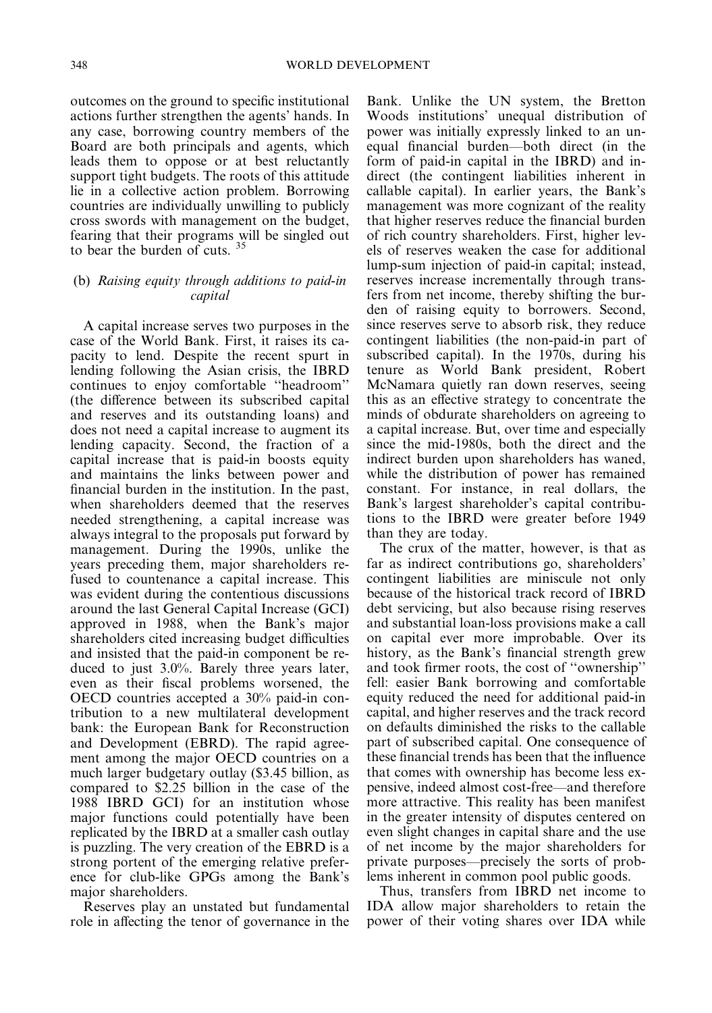outcomes on the ground to specific institutional actions further strengthen the agents' hands. In any case, borrowing country members of the Board are both principals and agents, which leads them to oppose or at best reluctantly support tight budgets. The roots of this attitude lie in a collective action problem. Borrowing countries are individually unwilling to publicly cross swords with management on the budget, fearing that their programs will be singled out to bear the burden of cuts.  $35$ 

## (b) Raising equity through additions to paid-in capital

A capital increase serves two purposes in the case of the World Bank. First, it raises its capacity to lend. Despite the recent spurt in lending following the Asian crisis, the IBRD continues to enjoy comfortable ''headroom'' (the difference between its subscribed capital and reserves and its outstanding loans) and does not need a capital increase to augment its lending capacity. Second, the fraction of a capital increase that is paid-in boosts equity and maintains the links between power and financial burden in the institution. In the past, when shareholders deemed that the reserves needed strengthening, a capital increase was always integral to the proposals put forward by management. During the 1990s, unlike the years preceding them, major shareholders refused to countenance a capital increase. This was evident during the contentious discussions around the last General Capital Increase (GCI) approved in 1988, when the Bank's major shareholders cited increasing budget difficulties and insisted that the paid-in component be reduced to just 3.0%. Barely three years later, even as their fiscal problems worsened, the OECD countries accepted a 30% paid-in contribution to a new multilateral development bank: the European Bank for Reconstruction and Development (EBRD). The rapid agreement among the major OECD countries on a much larger budgetary outlay (\$3.45 billion, as compared to \$2.25 billion in the case of the 1988 IBRD GCI) for an institution whose major functions could potentially have been replicated by the IBRD at a smaller cash outlay is puzzling. The very creation of the EBRD is a strong portent of the emerging relative preference for club-like GPGs among the Bank's major shareholders.

Reserves play an unstated but fundamental role in affecting the tenor of governance in the

Bank. Unlike the UN system, the Bretton Woods institutions' unequal distribution of power was initially expressly linked to an unequal financial burden—both direct (in the form of paid-in capital in the IBRD) and indirect (the contingent liabilities inherent in callable capital). In earlier years, the Bank's management was more cognizant of the reality that higher reserves reduce the financial burden of rich country shareholders. First, higher levels of reserves weaken the case for additional lump-sum injection of paid-in capital; instead, reserves increase incrementally through transfers from net income, thereby shifting the burden of raising equity to borrowers. Second, since reserves serve to absorb risk, they reduce contingent liabilities (the non-paid-in part of subscribed capital). In the 1970s, during his tenure as World Bank president, Robert McNamara quietly ran down reserves, seeing this as an effective strategy to concentrate the minds of obdurate shareholders on agreeing to a capital increase. But, over time and especially since the mid-1980s, both the direct and the indirect burden upon shareholders has waned, while the distribution of power has remained constant. For instance, in real dollars, the Bank's largest shareholder's capital contributions to the IBRD were greater before 1949 than they are today.

The crux of the matter, however, is that as far as indirect contributions go, shareholders' contingent liabilities are miniscule not only because of the historical track record of IBRD debt servicing, but also because rising reserves and substantial loan-loss provisions make a call on capital ever more improbable. Over its history, as the Bank's financial strength grew and took firmer roots, the cost of ''ownership'' fell: easier Bank borrowing and comfortable equity reduced the need for additional paid-in capital, and higher reserves and the track record on defaults diminished the risks to the callable part of subscribed capital. One consequence of these financial trends has been that the influence that comes with ownership has become less expensive, indeed almost cost-free—and therefore more attractive. This reality has been manifest in the greater intensity of disputes centered on even slight changes in capital share and the use of net income by the major shareholders for private purposes—precisely the sorts of problems inherent in common pool public goods.

Thus, transfers from IBRD net income to IDA allow major shareholders to retain the power of their voting shares over IDA while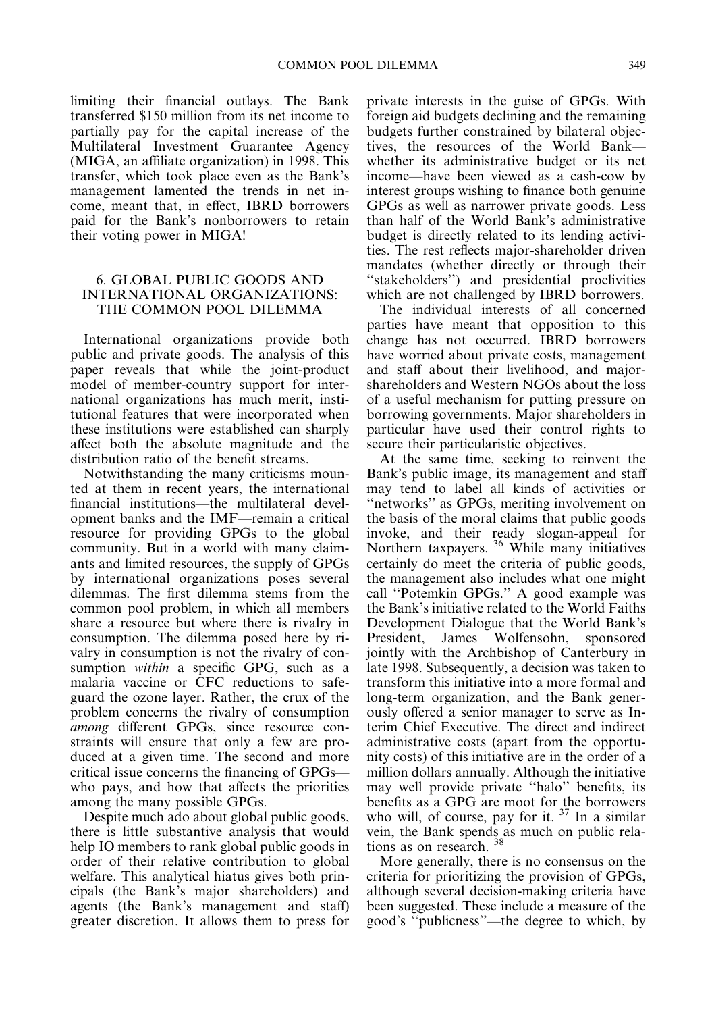limiting their financial outlays. The Bank transferred \$150 million from its net income to partially pay for the capital increase of the Multilateral Investment Guarantee Agency (MIGA, an affiliate organization) in 1998. This transfer, which took place even as the Bank's management lamented the trends in net income, meant that, in effect, IBRD borrowers paid for the Bank's nonborrowers to retain their voting power in MIGA!

## 6. GLOBAL PUBLIC GOODS AND INTERNATIONAL ORGANIZATIONS: THE COMMON POOL DILEMMA

International organizations provide both public and private goods. The analysis of this paper reveals that while the joint-product model of member-country support for international organizations has much merit, institutional features that were incorporated when these institutions were established can sharply affect both the absolute magnitude and the distribution ratio of the benefit streams.

Notwithstanding the many criticisms mounted at them in recent years, the international financial institutions—the multilateral development banks and the IMF—remain a critical resource for providing GPGs to the global community. But in a world with many claimants and limited resources, the supply of GPGs by international organizations poses several dilemmas. The first dilemma stems from the common pool problem, in which all members share a resource but where there is rivalry in consumption. The dilemma posed here by rivalry in consumption is not the rivalry of consumption *within* a specific GPG, such as a malaria vaccine or CFC reductions to safeguard the ozone layer. Rather, the crux of the problem concerns the rivalry of consumption among different GPGs, since resource constraints will ensure that only a few are produced at a given time. The second and more critical issue concerns the financing of GPGs who pays, and how that affects the priorities among the many possible GPGs.

Despite much ado about global public goods, there is little substantive analysis that would help IO members to rank global public goods in order of their relative contribution to global welfare. This analytical hiatus gives both principals (the Bank's major shareholders) and agents (the Bank's management and staff) greater discretion. It allows them to press for

private interests in the guise of GPGs. With foreign aid budgets declining and the remaining budgets further constrained by bilateral objectives, the resources of the World Bank whether its administrative budget or its net income—have been viewed as a cash-cow by interest groups wishing to finance both genuine GPGs as well as narrower private goods. Less than half of the World Bank's administrative budget is directly related to its lending activities. The rest reflects major-shareholder driven mandates (whether directly or through their ''stakeholders'') and presidential proclivities which are not challenged by IBRD borrowers.

The individual interests of all concerned parties have meant that opposition to this change has not occurred. IBRD borrowers have worried about private costs, management and staff about their livelihood, and majorshareholders and Western NGOs about the loss of a useful mechanism for putting pressure on borrowing governments. Major shareholders in particular have used their control rights to secure their particularistic objectives.

At the same time, seeking to reinvent the Bank's public image, its management and staff may tend to label all kinds of activities or ''networks'' as GPGs, meriting involvement on the basis of the moral claims that public goods invoke, and their ready slogan-appeal for Northern taxpayers.<sup>36</sup> While many initiatives certainly do meet the criteria of public goods, the management also includes what one might call ''Potemkin GPGs.'' A good example was the Bank's initiative related to the World Faiths Development Dialogue that the World Bank's President, James Wolfensohn, sponsored jointly with the Archbishop of Canterbury in late 1998. Subsequently, a decision was taken to transform this initiative into a more formal and long-term organization, and the Bank generously offered a senior manager to serve as Interim Chief Executive. The direct and indirect administrative costs (apart from the opportunity costs) of this initiative are in the order of a million dollars annually. Although the initiative may well provide private ''halo'' benefits, its benefits as a GPG are moot for the borrowers who will, of course, pay for it.  $37 \text{ In a similar}$ vein, the Bank spends as much on public relations as on research. <sup>38</sup>

More generally, there is no consensus on the criteria for prioritizing the provision of GPGs, although several decision-making criteria have been suggested. These include a measure of the good's ''publicness''—the degree to which, by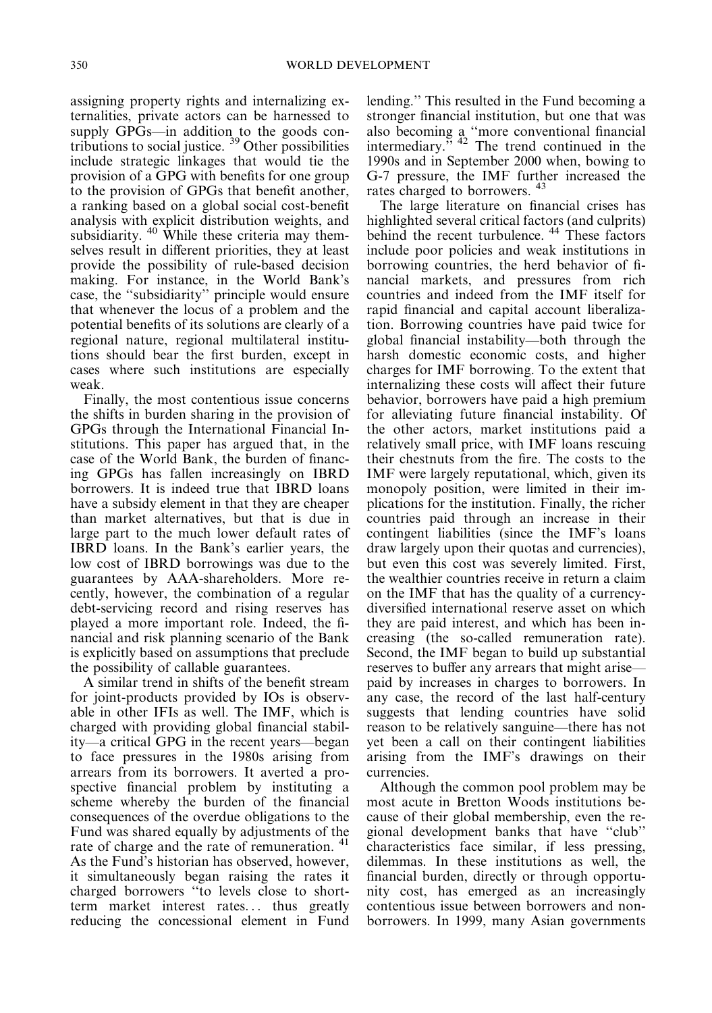assigning property rights and internalizing externalities, private actors can be harnessed to supply GPGs—in addition to the goods contributions to social justice.  $39$  Other possibilities include strategic linkages that would tie the provision of a GPG with benefits for one group to the provision of GPGs that benefit another, a ranking based on a global social cost-benefit analysis with explicit distribution weights, and subsidiarity.  $40 \text{ W}$ hile these criteria may themselves result in different priorities, they at least provide the possibility of rule-based decision making. For instance, in the World Bank's case, the ''subsidiarity'' principle would ensure that whenever the locus of a problem and the potential benefits of its solutions are clearly of a regional nature, regional multilateral institutions should bear the first burden, except in cases where such institutions are especially weak.

Finally, the most contentious issue concerns the shifts in burden sharing in the provision of GPGs through the International Financial Institutions. This paper has argued that, in the case of the World Bank, the burden of financing GPGs has fallen increasingly on IBRD borrowers. It is indeed true that IBRD loans have a subsidy element in that they are cheaper than market alternatives, but that is due in large part to the much lower default rates of IBRD loans. In the Bank's earlier years, the low cost of IBRD borrowings was due to the guarantees by AAA-shareholders. More recently, however, the combination of a regular debt-servicing record and rising reserves has played a more important role. Indeed, the financial and risk planning scenario of the Bank is explicitly based on assumptions that preclude the possibility of callable guarantees.

A similar trend in shifts of the benefit stream for joint-products provided by IOs is observable in other IFIs as well. The IMF, which is charged with providing global financial stability—a critical GPG in the recent years—began to face pressures in the 1980s arising from arrears from its borrowers. It averted a prospective financial problem by instituting a scheme whereby the burden of the financial consequences of the overdue obligations to the Fund was shared equally by adjustments of the rate of charge and the rate of remuneration.<sup>41</sup> As the Fund's historian has observed, however, it simultaneously began raising the rates it charged borrowers ''to levels close to shortterm market interest rates... thus greatly reducing the concessional element in Fund

lending.'' This resulted in the Fund becoming a stronger financial institution, but one that was also becoming a ''more conventional financial intermediary." <sup>42</sup> The trend continued in the 1990s and in September 2000 when, bowing to G-7 pressure, the IMF further increased the rates charged to borrowers. <sup>43</sup>

The large literature on financial crises has highlighted several critical factors (and culprits) behind the recent turbulence.<sup>44</sup> These factors include poor policies and weak institutions in borrowing countries, the herd behavior of financial markets, and pressures from rich countries and indeed from the IMF itself for rapid financial and capital account liberalization. Borrowing countries have paid twice for global financial instability—both through the harsh domestic economic costs, and higher charges for IMF borrowing. To the extent that internalizing these costs will affect their future behavior, borrowers have paid a high premium for alleviating future financial instability. Of the other actors, market institutions paid a relatively small price, with IMF loans rescuing their chestnuts from the fire. The costs to the IMF were largely reputational, which, given its monopoly position, were limited in their implications for the institution. Finally, the richer countries paid through an increase in their contingent liabilities (since the IMF's loans draw largely upon their quotas and currencies), but even this cost was severely limited. First, the wealthier countries receive in return a claim on the IMF that has the quality of a currencydiversified international reserve asset on which they are paid interest, and which has been increasing (the so-called remuneration rate). Second, the IMF began to build up substantial reserves to buffer any arrears that might arise paid by increases in charges to borrowers. In any case, the record of the last half-century suggests that lending countries have solid reason to be relatively sanguine—there has not yet been a call on their contingent liabilities arising from the IMF's drawings on their currencies.

Although the common pool problem may be most acute in Bretton Woods institutions because of their global membership, even the regional development banks that have ''club'' characteristics face similar, if less pressing, dilemmas. In these institutions as well, the financial burden, directly or through opportunity cost, has emerged as an increasingly contentious issue between borrowers and nonborrowers. In 1999, many Asian governments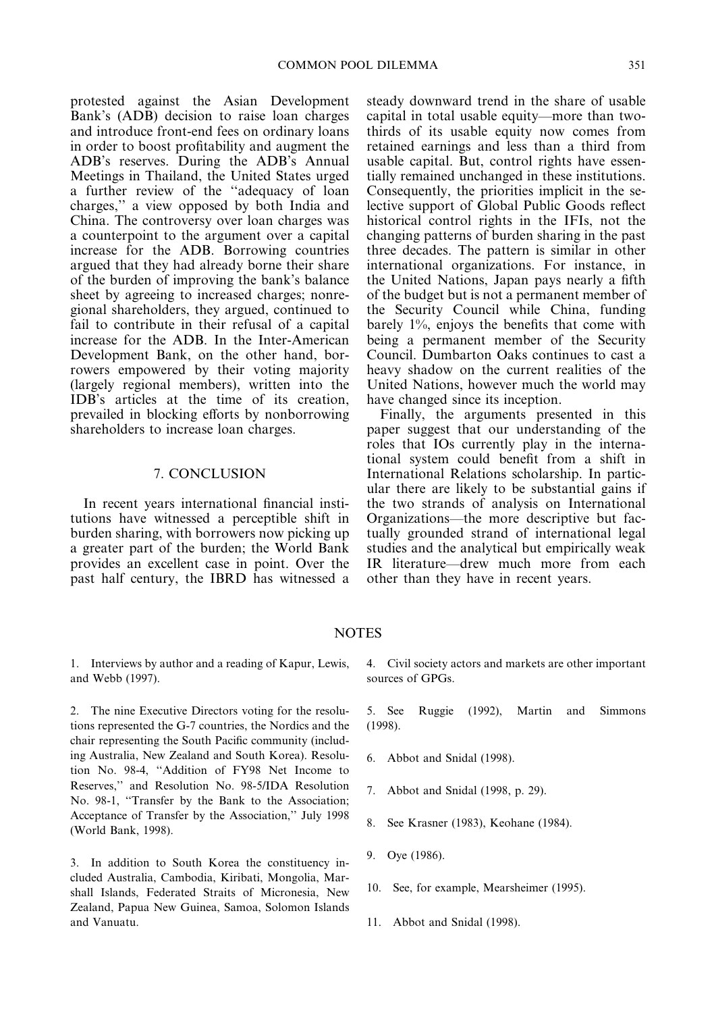protested against the Asian Development Bank's (ADB) decision to raise loan charges and introduce front-end fees on ordinary loans in order to boost profitability and augment the ADB's reserves. During the ADB's Annual Meetings in Thailand, the United States urged a further review of the ''adequacy of loan charges,'' a view opposed by both India and China. The controversy over loan charges was a counterpoint to the argument over a capital increase for the ADB. Borrowing countries argued that they had already borne their share of the burden of improving the bank's balance sheet by agreeing to increased charges; nonregional shareholders, they argued, continued to fail to contribute in their refusal of a capital increase for the ADB. In the Inter-American Development Bank, on the other hand, borrowers empowered by their voting majority (largely regional members), written into the IDB's articles at the time of its creation, prevailed in blocking efforts by nonborrowing shareholders to increase loan charges.

### 7. CONCLUSION

In recent years international financial institutions have witnessed a perceptible shift in burden sharing, with borrowers now picking up a greater part of the burden; the World Bank provides an excellent case in point. Over the past half century, the IBRD has witnessed a steady downward trend in the share of usable capital in total usable equity—more than twothirds of its usable equity now comes from retained earnings and less than a third from usable capital. But, control rights have essentially remained unchanged in these institutions. Consequently, the priorities implicit in the selective support of Global Public Goods reflect historical control rights in the IFIs, not the changing patterns of burden sharing in the past three decades. The pattern is similar in other international organizations. For instance, in the United Nations, Japan pays nearly a fifth of the budget but is not a permanent member of the Security Council while China, funding barely 1%, enjoys the benefits that come with being a permanent member of the Security Council. Dumbarton Oaks continues to cast a heavy shadow on the current realities of the United Nations, however much the world may have changed since its inception.

Finally, the arguments presented in this paper suggest that our understanding of the roles that IOs currently play in the international system could benefit from a shift in International Relations scholarship. In particular there are likely to be substantial gains if the two strands of analysis on International Organizations—the more descriptive but factually grounded strand of international legal studies and the analytical but empirically weak IR literature—drew much more from each other than they have in recent years.

## **NOTES**

1. Interviews by author and a reading of Kapur, Lewis, and Webb (1997).

2. The nine Executive Directors voting for the resolutions represented the G-7 countries, the Nordics and the chair representing the South Pacific community (including Australia, New Zealand and South Korea). Resolution No. 98-4, ''Addition of FY98 Net Income to Reserves,'' and Resolution No. 98-5/IDA Resolution No. 98-1, ''Transfer by the Bank to the Association; Acceptance of Transfer by the Association,'' July 1998 (World Bank, 1998).

3. In addition to South Korea the constituency included Australia, Cambodia, Kiribati, Mongolia, Marshall Islands, Federated Straits of Micronesia, New Zealand, Papua New Guinea, Samoa, Solomon Islands and Vanuatu.

4. Civil society actors and markets are other important sources of GPGs.

5. See Ruggie (1992), Martin and Simmons (1998).

- 6. Abbot and Snidal (1998).
- 7. Abbot and Snidal (1998, p. 29).
- 8. See Krasner (1983), Keohane (1984).
- 9. Oye (1986).
- 10. See, for example, Mearsheimer (1995).
- 11. Abbot and Snidal (1998).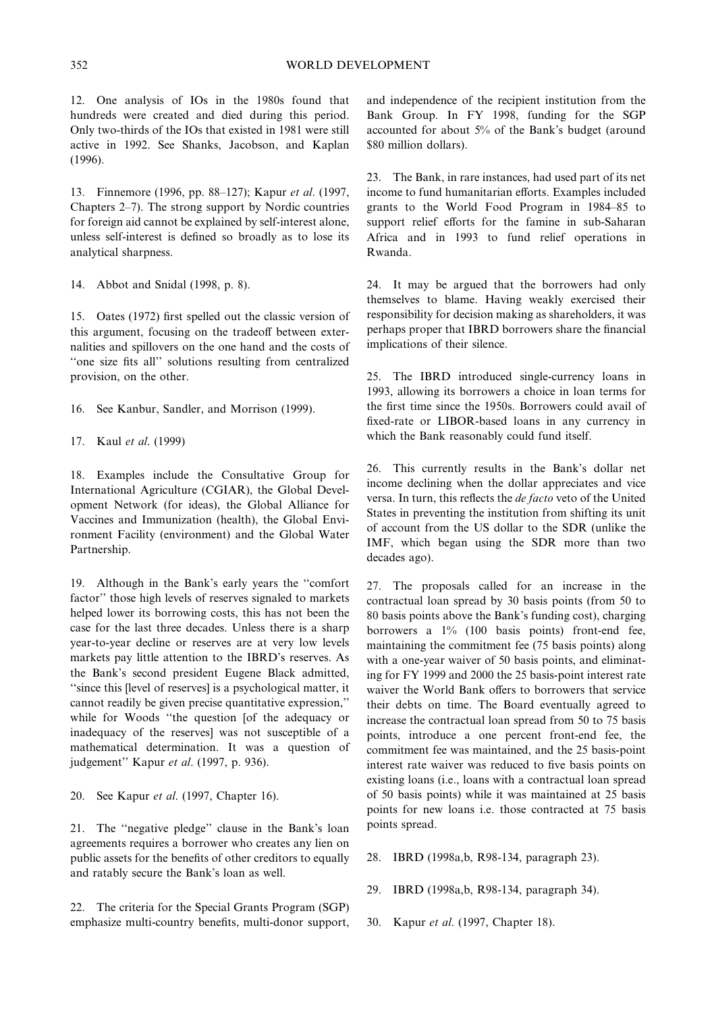12. One analysis of IOs in the 1980s found that hundreds were created and died during this period. Only two-thirds of the IOs that existed in 1981 were still active in 1992. See Shanks, Jacobson, and Kaplan (1996).

13. Finnemore (1996, pp. 88–127); Kapur et al. (1997, Chapters 2–7). The strong support by Nordic countries for foreign aid cannot be explained by self-interest alone, unless self-interest is defined so broadly as to lose its analytical sharpness.

14. Abbot and Snidal (1998, p. 8).

15. Oates (1972) first spelled out the classic version of this argument, focusing on the tradeoff between externalities and spillovers on the one hand and the costs of ''one size fits all'' solutions resulting from centralized provision, on the other.

16. See Kanbur, Sandler, and Morrison (1999).

17. Kaul et al. (1999)

18. Examples include the Consultative Group for International Agriculture (CGIAR), the Global Development Network (for ideas), the Global Alliance for Vaccines and Immunization (health), the Global Environment Facility (environment) and the Global Water Partnership.

19. Although in the Bank's early years the ''comfort factor'' those high levels of reserves signaled to markets helped lower its borrowing costs, this has not been the case for the last three decades. Unless there is a sharp year-to-year decline or reserves are at very low levels markets pay little attention to the IBRD's reserves. As the Bank's second president Eugene Black admitted, ''since this [level of reserves] is a psychological matter, it cannot readily be given precise quantitative expression,'' while for Woods ''the question [of the adequacy or inadequacy of the reserves] was not susceptible of a mathematical determination. It was a question of judgement'' Kapur et al. (1997, p. 936).

20. See Kapur et al. (1997, Chapter 16).

21. The ''negative pledge'' clause in the Bank's loan agreements requires a borrower who creates any lien on public assets for the benefits of other creditors to equally and ratably secure the Bank's loan as well.

22. The criteria for the Special Grants Program (SGP) emphasize multi-country benefits, multi-donor support, and independence of the recipient institution from the Bank Group. In FY 1998, funding for the SGP accounted for about 5% of the Bank's budget (around \$80 million dollars).

23. The Bank, in rare instances, had used part of its net income to fund humanitarian efforts. Examples included grants to the World Food Program in 1984–85 to support relief efforts for the famine in sub-Saharan Africa and in 1993 to fund relief operations in Rwanda.

24. It may be argued that the borrowers had only themselves to blame. Having weakly exercised their responsibility for decision making as shareholders, it was perhaps proper that IBRD borrowers share the financial implications of their silence.

25. The IBRD introduced single-currency loans in 1993, allowing its borrowers a choice in loan terms for the first time since the 1950s. Borrowers could avail of fixed-rate or LIBOR-based loans in any currency in which the Bank reasonably could fund itself.

26. This currently results in the Bank's dollar net income declining when the dollar appreciates and vice versa. In turn, this reflects the *de facto* veto of the United States in preventing the institution from shifting its unit of account from the US dollar to the SDR (unlike the IMF, which began using the SDR more than two decades ago).

27. The proposals called for an increase in the contractual loan spread by 30 basis points (from 50 to 80 basis points above the Bank's funding cost), charging borrowers a 1% (100 basis points) front-end fee, maintaining the commitment fee (75 basis points) along with a one-year waiver of 50 basis points, and eliminating for FY 1999 and 2000 the 25 basis-point interest rate waiver the World Bank offers to borrowers that service their debts on time. The Board eventually agreed to increase the contractual loan spread from 50 to 75 basis points, introduce a one percent front-end fee, the commitment fee was maintained, and the 25 basis-point interest rate waiver was reduced to five basis points on existing loans (i.e., loans with a contractual loan spread of 50 basis points) while it was maintained at 25 basis points for new loans i.e. those contracted at 75 basis points spread.

- 28. IBRD (1998a,b, R98-134, paragraph 23).
- 29. IBRD (1998a,b, R98-134, paragraph 34).
- 30. Kapur et al. (1997, Chapter 18).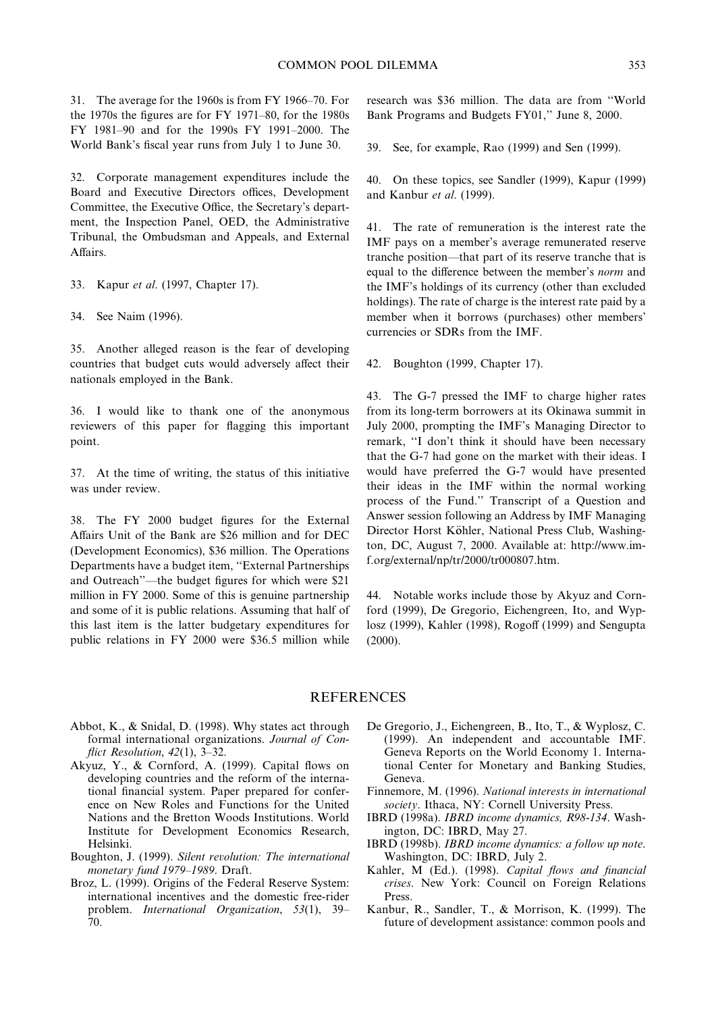31. The average for the 1960s is from FY 1966–70. For the 1970s the figures are for FY 1971–80, for the 1980s FY 1981–90 and for the 1990s FY 1991–2000. The World Bank's fiscal year runs from July 1 to June 30.

32. Corporate management expenditures include the Board and Executive Directors offices, Development Committee, the Executive Office, the Secretary's department, the Inspection Panel, OED, the Administrative Tribunal, the Ombudsman and Appeals, and External Affairs.

33. Kapur et al. (1997, Chapter 17).

34. See Naim (1996).

35. Another alleged reason is the fear of developing countries that budget cuts would adversely affect their nationals employed in the Bank.

36. I would like to thank one of the anonymous reviewers of this paper for flagging this important point.

37. At the time of writing, the status of this initiative was under review.

38. The FY 2000 budget figures for the External Affairs Unit of the Bank are \$26 million and for DEC (Development Economics), \$36 million. The Operations Departments have a budget item, ''External Partnerships and Outreach''—the budget figures for which were \$21 million in FY 2000. Some of this is genuine partnership and some of it is public relations. Assuming that half of this last item is the latter budgetary expenditures for public relations in FY 2000 were \$36.5 million while research was \$36 million. The data are from ''World Bank Programs and Budgets FY01,'' June 8, 2000.

39. See, for example, Rao (1999) and Sen (1999).

40. On these topics, see Sandler (1999), Kapur (1999) and Kanbur et al. (1999).

41. The rate of remuneration is the interest rate the IMF pays on a member's average remunerated reserve tranche position—that part of its reserve tranche that is equal to the difference between the member's norm and the IMF's holdings of its currency (other than excluded holdings). The rate of charge is the interest rate paid by a member when it borrows (purchases) other members' currencies or SDRs from the IMF.

42. Boughton (1999, Chapter 17).

43. The G-7 pressed the IMF to charge higher rates from its long-term borrowers at its Okinawa summit in July 2000, prompting the IMF's Managing Director to remark, ''I don't think it should have been necessary that the G-7 had gone on the market with their ideas. I would have preferred the G-7 would have presented their ideas in the IMF within the normal working process of the Fund.'' Transcript of a Question and Answer session following an Address by IMF Managing Director Horst Köhler, National Press Club, Washington, DC, August 7, 2000. Available at: http://www.imf.org/external/np/tr/2000/tr000807.htm.

44. Notable works include those by Akyuz and Cornford (1999), De Gregorio, Eichengreen, Ito, and Wyplosz (1999), Kahler (1998), Rogoff (1999) and Sengupta (2000).

## **REFERENCES**

- Abbot, K., & Snidal, D. (1998). Why states act through formal international organizations. Journal of Conflict Resolution, 42(1), 3-32.
- Akyuz, Y., & Cornford, A. (1999). Capital flows on developing countries and the reform of the international financial system. Paper prepared for conference on New Roles and Functions for the United Nations and the Bretton Woods Institutions. World Institute for Development Economics Research, Helsinki.
- Boughton, J. (1999). Silent revolution: The international monetary fund 1979–1989. Draft.
- Broz, L. (1999). Origins of the Federal Reserve System: international incentives and the domestic free-rider problem. International Organization, 53(1), 39– 70.
- De Gregorio, J., Eichengreen, B., Ito, T., & Wyplosz, C. (1999). An independent and accountable IMF. Geneva Reports on the World Economy 1. International Center for Monetary and Banking Studies, Geneva.
- Finnemore, M. (1996). National interests in international society. Ithaca, NY: Cornell University Press.
- IBRD (1998a). IBRD income dynamics, R98-134. Washington, DC: IBRD, May 27.
- IBRD (1998b). IBRD income dynamics: a follow up note. Washington, DC: IBRD, July 2.
- Kahler, M (Ed.). (1998). Capital flows and financial crises. New York: Council on Foreign Relations Press.
- Kanbur, R., Sandler, T., & Morrison, K. (1999). The future of development assistance: common pools and